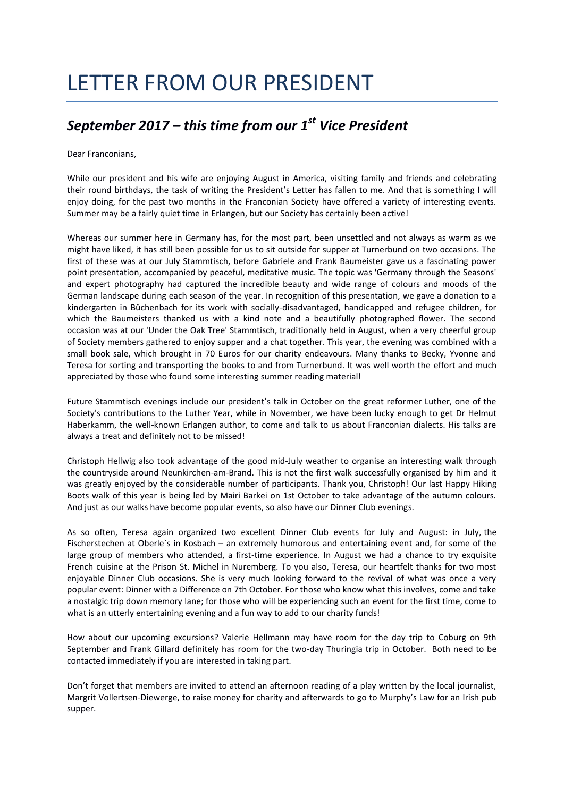## LETTER FROM OUR PRESIDENT

## *September 2017 – this time from our 1st Vice President*

Dear Franconians,

While our president and his wife are enjoying August in America, visiting family and friends and celebrating their round birthdays, the task of writing the President's Letter has fallen to me. And that is something I will enjoy doing, for the past two months in the Franconian Society have offered a variety of interesting events. Summer may be a fairly quiet time in Erlangen, but our Society has certainly been active!

Whereas our summer here in Germany has, for the most part, been unsettled and not always as warm as we might have liked, it has still been possible for us to sit outside for supper at Turnerbund on two occasions. The first of these was at our July Stammtisch, before Gabriele and Frank Baumeister gave us a fascinating power point presentation, accompanied by peaceful, meditative music. The topic was 'Germany through the Seasons' and expert photography had captured the incredible beauty and wide range of colours and moods of the German landscape during each season of the year. In recognition of this presentation, we gave a donation to a kindergarten in Büchenbach for its work with socially-disadvantaged, handicapped and refugee children, for which the Baumeisters thanked us with a kind note and a beautifully photographed flower. The second occasion was at our 'Under the Oak Tree' Stammtisch, traditionally held in August, when a very cheerful group of Society members gathered to enjoy supper and a chat together. This year, the evening was combined with a small book sale, which brought in 70 Euros for our charity endeavours. Many thanks to Becky, Yvonne and Teresa for sorting and transporting the books to and from Turnerbund. It was well worth the effort and much appreciated by those who found some interesting summer reading material!

Future Stammtisch evenings include our president's talk in October on the great reformer Luther, one of the Society's contributions to the Luther Year, while in November, we have been lucky enough to get Dr Helmut Haberkamm, the well-known Erlangen author, to come and talk to us about Franconian dialects. His talks are always a treat and definitely not to be missed!

Christoph Hellwig also took advantage of the good mid-July weather to organise an interesting walk through the countryside around Neunkirchen-am-Brand. This is not the first walk successfully organised by him and it was greatly enjoyed by the considerable number of participants. Thank you, Christoph! Our last Happy Hiking Boots walk of this year is being led by Mairi Barkei on 1st October to take advantage of the autumn colours. And just as our walks have become popular events, so also have our Dinner Club evenings.

As so often, Teresa again organized two excellent Dinner Club events for July and August: in July, the Fischerstechen at Oberle`s in Kosbach – an extremely humorous and entertaining event and, for some of the large group of members who attended, a first-time experience. In August we had a chance to try exquisite French cuisine at the Prison St. Michel in Nuremberg. To you also, Teresa, our heartfelt thanks for two most enjoyable Dinner Club occasions. She is very much looking forward to the revival of what was once a very popular event: Dinner with a Difference on 7th October. For those who know what this involves, come and take a nostalgic trip down memory lane; for those who will be experiencing such an event for the first time, come to what is an utterly entertaining evening and a fun way to add to our charity funds!

How about our upcoming excursions? Valerie Hellmann may have room for the day trip to Coburg on 9th September and Frank Gillard definitely has room for the two-day Thuringia trip in October. Both need to be contacted immediately if you are interested in taking part.

Don't forget that members are invited to attend an afternoon reading of a play written by the local journalist, Margrit Vollertsen-Diewerge, to raise money for charity and afterwards to go to Murphy's Law for an Irish pub supper.